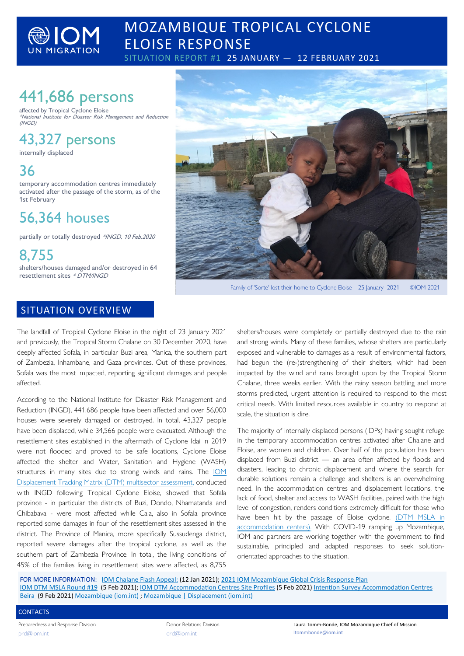

## MOZAMBIQUE TROPICAL CYCLONE ELOISE RESPONSE

SITUATION REPORT #1 25 JANUARY - 12 FEBRUARY 2021

# 441,686 persons

affected by Tropical Cyclone Eloise \*National Institute for Disaster Risk Management and Reduction (INGD)

# 43,327 persons

internally displaced

## 36

temporary accommodation centres immediately activated after the passage of the storm, as of the 1st February

## 56,364 houses

partially or totally destroyed \*INGD, 10 Feb.2020

8,755 shelters/houses damaged and/or destroyed in 64 resettlement sites \* DTM/INGD

### SITUATION OVERVIEW

The landfall of Tropical Cyclone Eloise in the night of 23 January 2021 and previously, the Tropical Storm Chalane on 30 December 2020, have deeply affected Sofala, in particular Buzi area, Manica, the southern part of Zambezia, Inhambane, and Gaza provinces. Out of these provinces, Sofala was the most impacted, reporting significant damages and people affected.

According to the National Institute for Disaster Risk Management and Reduction (INGD), 441,686 people have been affected and over 56,000 houses were severely damaged or destroyed. In total, 43,327 people have been displaced, while 34,566 people were evacuated. Although the resettlement sites established in the aftermath of Cyclone Idai in 2019 were not flooded and proved to be safe locations, Cyclone Eloise affected the shelter and Water, Sanitation and Hygiene (WASH) structures in many sites due to strong winds and rains. The [IOM](https://displacement.iom.int/reports/mozambique-%E2%80%94-multi-sectorial-location-assessment-tropical-cyclone-eloise-aftermath-report-19?close=true)  [Displacement Tracking Matrix \(DTM\) multisector assessment,](https://displacement.iom.int/reports/mozambique-%E2%80%94-multi-sectorial-location-assessment-tropical-cyclone-eloise-aftermath-report-19?close=true) conducted with INGD following Tropical Cyclone Eloise, showed that Sofala province - in particular the districts of Buzi, Dondo, Nhamatanda and Chibabava - were most affected while Caia, also in Sofala province reported some damages in four of the resettlement sites assessed in the district. The Province of Manica, more specifically Sussudenga district, reported severe damages after the tropical cyclone, as well as the southern part of Zambezia Province. In total, the living conditions of 45% of the families living in resettlement sites were affected, as 8,755



Family of 'Sorte' lost their home to Cyclone Eloise—25 January 2021 ©IOM 2021

shelters/houses were completely or partially destroyed due to the rain and strong winds. Many of these families, whose shelters are particularly exposed and vulnerable to damages as a result of environmental factors, had begun the (re-)strengthening of their shelters, which had been impacted by the wind and rains brought upon by the Tropical Storm Chalane, three weeks earlier. With the rainy season battling and more storms predicted, urgent attention is required to respond to the most critical needs. With limited resources available in country to respond at scale, the situation is dire.

The majority of internally displaced persons (IDPs) having sought refuge in the temporary accommodation centres activated after Chalane and Eloise, are women and children. Over half of the population has been displaced from Buzi district — an area often affected by floods and disasters, leading to chronic displacement and where the search for durable solutions remain a challenge and shelters is an overwhelming need. In the accommodation centres and displacement locations, the lack of food, shelter and access to WASH facilities, paired with the high level of congestion, renders conditions extremely difficult for those who have been hit by the passage of Eloise cyclone. [\(DTM MSLA in](https://displacement.iom.int/reports/mozambique-%E2%80%94-multi-sectorial-location-assessment-accommodation-centres-report-28-january-05?close=true)  [accommodation centers\).](https://displacement.iom.int/reports/mozambique-%E2%80%94-multi-sectorial-location-assessment-accommodation-centres-report-28-january-05?close=true) With COVID-19 ramping up Mozambique, IOM and partners are working together with the government to find sustainable, principled and adapted responses to seek solutionorientated approaches to the situation.

FOR MORE INFORMATION: [IOM Chalane Flash Appeal:](https://crisisresponse.iom.int/sites/default/files/uploaded-files/IOM%20Flash%20Appeal%20Tropical%20Storm%20Chalane.pdf) (12 Jan 2021); [2021 IOM Mozambique Global Crisis Response Plan](https://crisisresponse.iom.int/response/mozambique-crisis-response-plan-2021) [IOM DTM MSLA Round #19](https://displacement.iom.int/reports/mozambique-%E2%80%94-multi-sectorial-location-assessment-tropical-cyclone-eloise-aftermath-report-19) (5 Feb 2021); [IOM DTM Accommodation Centres Site Profiles](https://displacement.iom.int/reports/mozambique-%E2%80%94-accommodation-centres-site-profiles-manica-and-sofala-28-january-05-february) (5 Feb 2021) [Intention Survey Accommodation Centres](https://displacement.iom.int/reports/mozambique-%E2%80%94-tropical-cyclone-eloise-intention-survey-accommodation-centres-located-beira-0?close=true)  [Beira](https://displacement.iom.int/reports/mozambique-%E2%80%94-tropical-cyclone-eloise-intention-survey-accommodation-centres-located-beira-0?close=true) (9 Feb 2021) [Mozambique \(iom.int\)](https://mozambique.iom.int/) ; [Mozambique | Displacement \(iom.int\)](https://displacement.iom.int/Mozambique)

#### **CONTACTS**

Preparedness and Response Division [prd@iom.int](mailto:prd@iom.int)

Donor Relations Division [drd@iom.int](mailto:drd@iom.int)

Laura Tomm-Bonde, IOM Mozambique Chief of Mission ltommbonde@iom.int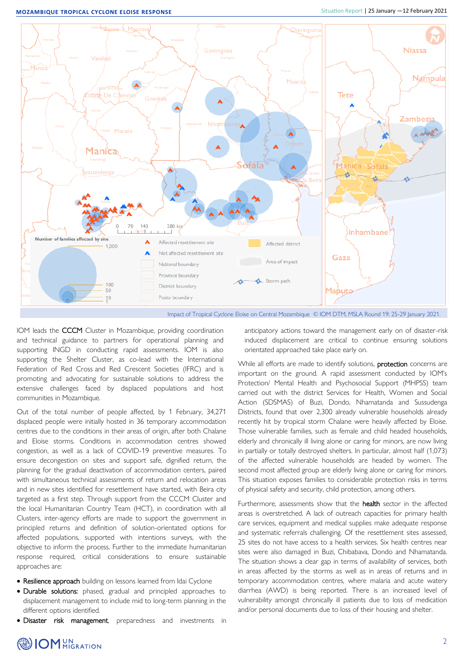

Impact of Tropical Cyclone Eloise on Central Mozambique © IOM DTM, MSLA Round 19: 25-29 January 2021.

IOM leads the CCCM Cluster in Mozambique, providing coordination and technical guidance to partners for operational planning and supporting INGD in conducting rapid assessments. IOM is also supporting the Shelter Cluster, as co-lead with the International Federation of Red Cross and Red Crescent Societies (IFRC) and is promoting and advocating for sustainable solutions to address the extensive challenges faced by displaced populations and host communities in Mozambique.

Out of the total number of people affected, by 1 February, 34,271 displaced people were initially hosted in 36 temporary accommodation centres due to the conditions in their areas of origin, after both Chalane and Eloise storms. Conditions in accommodation centres showed congestion, as well as a lack of COVID-19 preventive measures. To ensure decongestion on sites and support safe, dignified return, the planning for the gradual deactivation of accommodation centers, paired with simultaneous technical assessments of return and relocation areas and in new sites identified for resettlement have started, with Beira city targeted as a first step. Through support from the CCCM Cluster and the local Humanitarian Country Team (HCT), in coordination with all Clusters, inter-agency efforts are made to support the government in principled returns and definition of solution-orientated options for affected populations, supported with intentions surveys, with the objective to inform the process. Further to the immediate humanitarian response required, critical considerations to ensure sustainable approaches are:

- Resilience approach building on lessons learned from Idai Cyclone
- Durable solutions: phased, gradual and principled approaches to displacement management to include mid to long-term planning in the different options identified.
- Disaster risk management, preparedness and investments in

anticipatory actions toward the management early on of disaster-risk induced displacement are critical to continue ensuring solutions orientated approached take place early on.

While all efforts are made to identify solutions, protection concerns are important on the ground. A rapid assessment conducted by IOM's Protection/ Mental Health and Psychosocial Support (MHPSS) team carried out with the district Services for Health, Women and Social Action (SDSMAS) of Buzi, Dondo, Nhamatanda and Sussudenga Districts, found that over 2,300 already vulnerable households already recently hit by tropical storm Chalane were heavily affected by Eloise. Those vulnerable families, such as female and child headed households, elderly and chronically ill living alone or caring for minors, are now living in partially or totally destroyed shelters. In particular, almost half (1,073) of the affected vulnerable households are headed by women. The second most affected group are elderly living alone or caring for minors. This situation exposes families to considerable protection risks in terms of physical safety and security, child protection, among others.

Furthermore, assessments show that the **health** sector in the affected areas is overstretched. A lack of outreach capacities for primary health care services, equipment and medical supplies make adequate response and systematic referrals challenging. Of the resettlement sites assessed, 25 sites do not have access to a health services. Six health centres near sites were also damaged in Buzi, Chibabava, Dondo and Nhamatanda. The situation shows a clear gap in terms of availability of services, both in areas affected by the storms as well as in areas of returns and in temporary accommodation centres, where malaria and acute watery diarrhea (AWD) is being reported. There is an increased level of vulnerability amongst chronically ill patients due to loss of medication and/or personal documents due to loss of their housing and shelter.